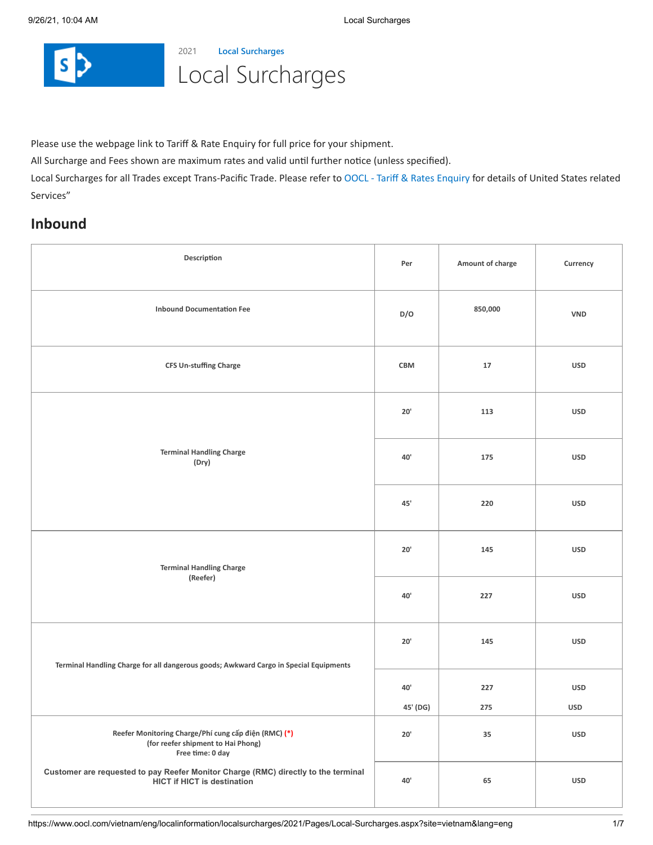

[2021](https://www.oocl.com/vietnam/eng/localinformation/localsurcharges/2021/Pages/default.aspx) **[Local Surcharges](https://www.oocl.com/vietnam/eng/localinformation/localsurcharges/2021/Pages/Local-Surcharges.aspx)** Local Surcharges



All Surcharge and Fees shown are maximum rates and valid until further notice (unless specified).

Local Surcharges for all Trades except Trans-Pacific Trade. Please refer to [OOCL - Tariff & Rates Enquiry](https://www.oocl.com/eng/ourservices/eservices/tariffandrates/Pages/default1.aspx) for details of United States related Services"

# **Inbound**

| Description                                                                                                              | Per      | Amount of charge | Currency   |
|--------------------------------------------------------------------------------------------------------------------------|----------|------------------|------------|
| <b>Inbound Documentation Fee</b>                                                                                         | D/O      | 850,000          | <b>VND</b> |
| CFS Un-stuffing Charge                                                                                                   | CBM      | 17               | <b>USD</b> |
|                                                                                                                          | 20'      | 113              | <b>USD</b> |
| <b>Terminal Handling Charge</b><br>(Dry)                                                                                 | 40'      | 175              | <b>USD</b> |
|                                                                                                                          | 45'      | 220              | <b>USD</b> |
| <b>Terminal Handling Charge</b>                                                                                          | $20'$    | 145              | <b>USD</b> |
| (Reefer)                                                                                                                 | 40'      | 227              | <b>USD</b> |
| Terminal Handling Charge for all dangerous goods; Awkward Cargo in Special Equipments                                    | $20'$    | 145              | <b>USD</b> |
|                                                                                                                          | 40'      | 227              | <b>USD</b> |
|                                                                                                                          | 45' (DG) | 275              | <b>USD</b> |
| Reefer Monitoring Charge/Phí cung cấp điện (RMC) (*)<br>(for reefer shipment to Hai Phong)<br>Free time: 0 day           | $20'$    | 35               | <b>USD</b> |
| Customer are requested to pay Reefer Monitor Charge (RMC) directly to the terminal<br><b>HICT if HICT is destination</b> | $40'$    | 65               | <b>USD</b> |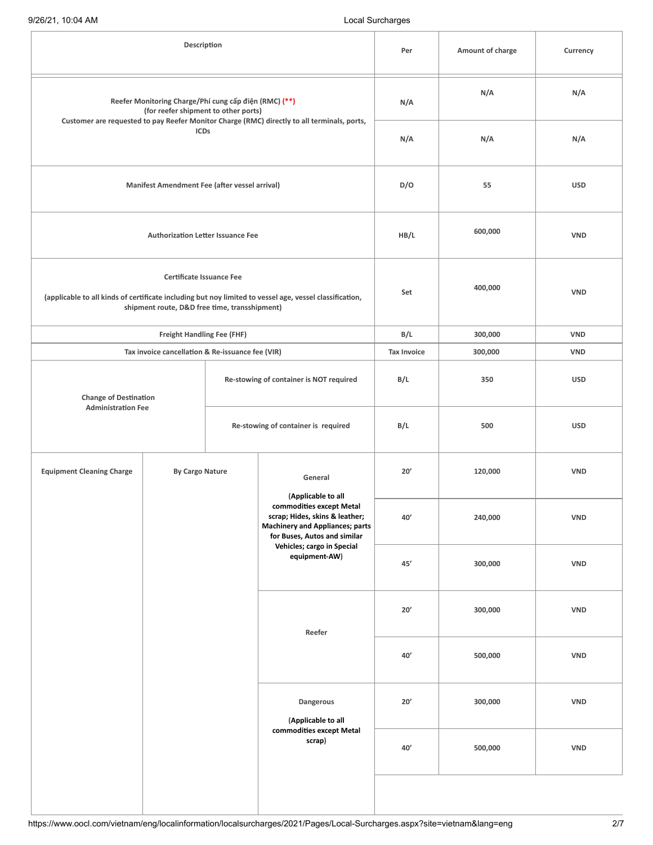|                                  | Description                                                                                                                                                                                                 |                                     |                                                                                                                                                            | Per                | Amount of charge | Currency   |
|----------------------------------|-------------------------------------------------------------------------------------------------------------------------------------------------------------------------------------------------------------|-------------------------------------|------------------------------------------------------------------------------------------------------------------------------------------------------------|--------------------|------------------|------------|
|                                  | Reefer Monitoring Charge/Phí cung cấp điện (RMC) (**)<br>(for reefer shipment to other ports)<br>Customer are requested to pay Reefer Monitor Charge (RMC) directly to all terminals, ports,<br><b>ICDs</b> |                                     |                                                                                                                                                            | N/A                | N/A              | N/A        |
|                                  |                                                                                                                                                                                                             |                                     |                                                                                                                                                            | N/A                | N/A              | N/A        |
|                                  | Manifest Amendment Fee (after vessel arrival)                                                                                                                                                               |                                     |                                                                                                                                                            | D/O                | 55               | <b>USD</b> |
|                                  | <b>Authorization Letter Issuance Fee</b>                                                                                                                                                                    |                                     |                                                                                                                                                            | HB/L               | 600,000          | <b>VND</b> |
|                                  | Certificate Issuance Fee<br>(applicable to all kinds of certificate including but noy limited to vessel age, vessel classification,<br>shipment route, D&D free time, transshipment)                        |                                     |                                                                                                                                                            | Set                | 400,000          | <b>VND</b> |
|                                  | <b>Freight Handling Fee (FHF)</b>                                                                                                                                                                           |                                     |                                                                                                                                                            |                    | 300,000          | <b>VND</b> |
|                                  | Tax invoice cancellation & Re-issuance fee (VIR)                                                                                                                                                            |                                     |                                                                                                                                                            | <b>Tax Invoice</b> | 300,000          | <b>VND</b> |
| <b>Change of Destination</b>     |                                                                                                                                                                                                             |                                     | Re-stowing of container is NOT required                                                                                                                    |                    | 350              | <b>USD</b> |
| <b>Administration Fee</b>        |                                                                                                                                                                                                             | Re-stowing of container is required |                                                                                                                                                            | B/L                | 500              | <b>USD</b> |
| <b>Equipment Cleaning Charge</b> | <b>By Cargo Nature</b>                                                                                                                                                                                      | General                             |                                                                                                                                                            | 20'                | 120,000          | <b>VND</b> |
|                                  |                                                                                                                                                                                                             |                                     | (Applicable to all<br>commodities except Metal<br>scrap; Hides, skins & leather;<br><b>Machinery and Appliances; parts</b><br>for Buses, Autos and similar | 40'                | 240,000          | <b>VND</b> |
|                                  |                                                                                                                                                                                                             |                                     | Vehicles; cargo in Special<br>equipment-AW)                                                                                                                | $45'$              | 300,000          | <b>VND</b> |
|                                  |                                                                                                                                                                                                             |                                     | Reefer                                                                                                                                                     | $20^{\prime}$      | 300,000          | <b>VND</b> |
|                                  |                                                                                                                                                                                                             |                                     |                                                                                                                                                            |                    | 500,000          | <b>VND</b> |
|                                  |                                                                                                                                                                                                             |                                     | Dangerous<br>(Applicable to all                                                                                                                            | $20'$              | 300,000          | <b>VND</b> |
|                                  |                                                                                                                                                                                                             |                                     | commodities except Metal<br>scrap)                                                                                                                         |                    | 500,000          | <b>VND</b> |
|                                  |                                                                                                                                                                                                             |                                     |                                                                                                                                                            |                    |                  |            |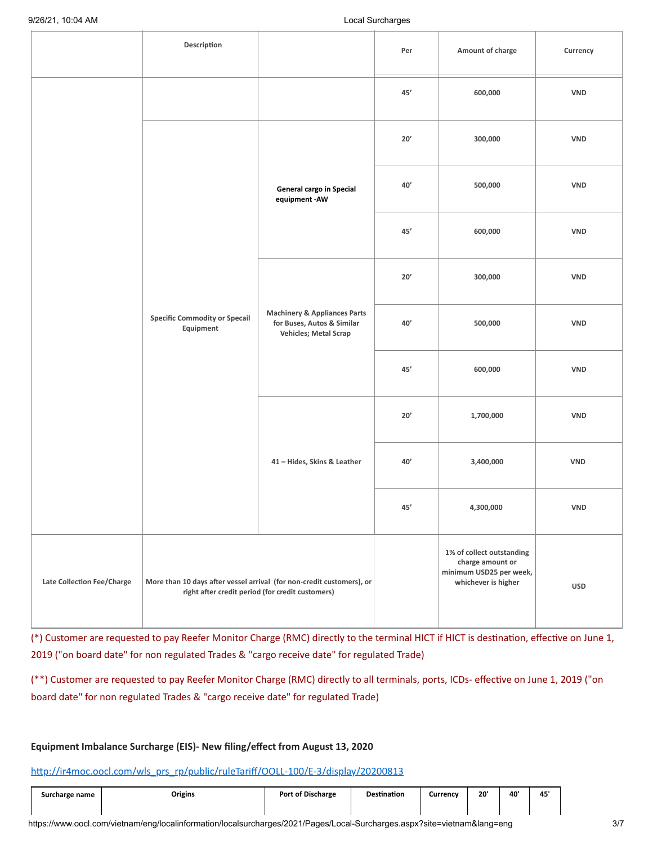|                            | Description                                       |                                                                                                | Per           | Amount of charge                                                                                | Currency   |
|----------------------------|---------------------------------------------------|------------------------------------------------------------------------------------------------|---------------|-------------------------------------------------------------------------------------------------|------------|
|                            |                                                   |                                                                                                | $45^{\prime}$ | 600,000                                                                                         | <b>VND</b> |
|                            |                                                   |                                                                                                | $20^{\prime}$ | 300,000                                                                                         | <b>VND</b> |
|                            |                                                   | General cargo in Special<br>equipment - AW                                                     |               | 500,000                                                                                         | <b>VND</b> |
|                            |                                                   |                                                                                                | 45'           | 600,000                                                                                         | <b>VND</b> |
|                            |                                                   |                                                                                                | $20^{\prime}$ | 300,000                                                                                         | <b>VND</b> |
|                            | <b>Specific Commodity or Specail</b><br>Equipment | <b>Machinery &amp; Appliances Parts</b><br>for Buses, Autos & Similar<br>Vehicles; Metal Scrap | $40'$         | 500,000                                                                                         | <b>VND</b> |
|                            |                                                   |                                                                                                | $45'$         | 600,000                                                                                         | <b>VND</b> |
|                            |                                                   |                                                                                                | 20'           | 1,700,000                                                                                       | <b>VND</b> |
|                            |                                                   | 41 - Hides, Skins & Leather                                                                    | $40'$         | 3,400,000                                                                                       | <b>VND</b> |
|                            |                                                   |                                                                                                | $45'$         | 4,300,000                                                                                       | <b>VND</b> |
| Late Collection Fee/Charge | right after credit period (for credit customers)  | More than 10 days after vessel arrival (for non-credit customers), or                          |               | 1% of collect outstanding<br>charge amount or<br>minimum USD25 per week,<br>whichever is higher | <b>USD</b> |

(\*) Customer are requested to pay Reefer Monitor Charge (RMC) directly to the terminal HICT if HICT is destination, effective on June 1, 2019 ("on board date" for non regulated Trades & "cargo receive date" for regulated Trade)

(\*\*) Customer are requested to pay Reefer Monitor Charge (RMC) directly to all terminals, ports, ICDs- effective on June 1, 2019 ("on board date" for non regulated Trades & "cargo receive date" for regulated Trade)

### **Equipment Imbalance Surcharge (EIS)- New filing/effect from August 13, 2020**

[http://ir4moc.oocl.com/wls\\_prs\\_rp/public/ruleTariff/OOLL-100/E-3/display/20200813](http://ir4moc.oocl.com/wls_prs_rp/public/ruleTariff/OOLL-100/E-3/display/20200813)

| Surcharge name | Origins | Port of Discharge | <b>Destination</b> | Currency | 20' | 40' | 45' |  |
|----------------|---------|-------------------|--------------------|----------|-----|-----|-----|--|
|                |         |                   |                    |          |     |     |     |  |

https://www.oocl.com/vietnam/eng/localinformation/localsurcharges/2021/Pages/Local-Surcharges.aspx?site=vietnam&lang=eng 3/7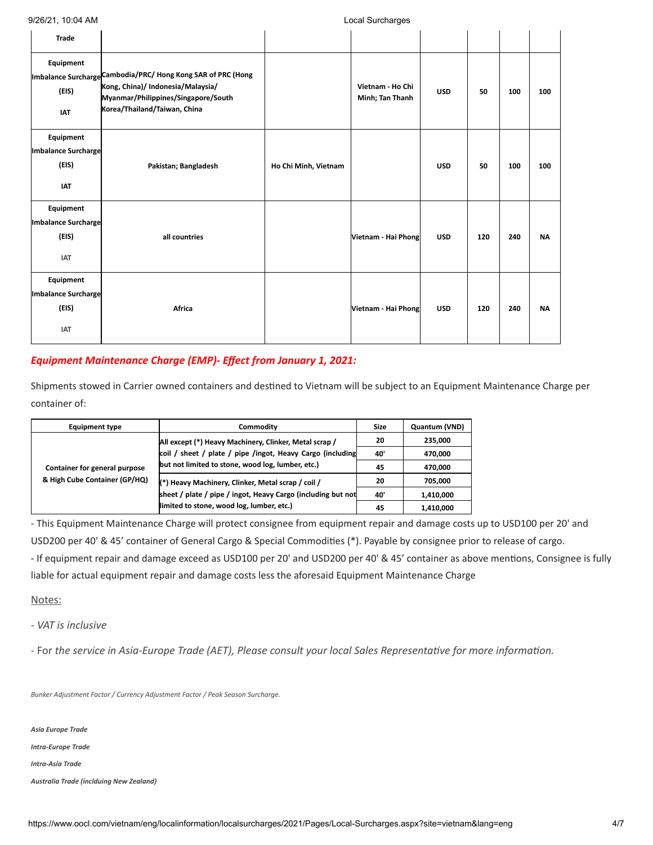9/26/21, 10:04 AM Local Surcharges

| Trade                                                          |                                                                                                                                                                          |                      |                                     |            |     |     |           |
|----------------------------------------------------------------|--------------------------------------------------------------------------------------------------------------------------------------------------------------------------|----------------------|-------------------------------------|------------|-----|-----|-----------|
| Equipment<br>(EIS)<br><b>IAT</b>                               | Imbalance Surcharge Cambodia/PRC/ Hong Kong SAR of PRC (Hong<br>Kong, China)/ Indonesia/Malaysia/<br>Myanmar/Philippines/Singapore/South<br>Korea/Thailand/Taiwan, China |                      | Vietnam - Ho Chi<br>Minh; Tan Thanh | <b>USD</b> | 50  | 100 | 100       |
| Equipment<br><b>Imbalance Surcharge</b><br>(EIS)<br><b>IAT</b> | Pakistan; Bangladesh                                                                                                                                                     | Ho Chi Minh, Vietnam |                                     | <b>USD</b> | 50  | 100 | 100       |
| Equipment<br><b>Imbalance Surcharge</b><br>(EIS)<br><b>IAT</b> | all countries                                                                                                                                                            |                      | Vietnam - Hai Phong                 | <b>USD</b> | 120 | 240 | <b>NA</b> |
| Equipment<br><b>Imbalance Surcharge</b><br>(EIS)<br><b>IAT</b> | Africa                                                                                                                                                                   |                      | Vietnam - Hai Phong                 | <b>USD</b> | 120 | 240 | <b>NA</b> |

## *Equipment Maintenance Charge (EMP)- Effect from January 1, 2021:*

Shipments stowed in Carrier owned containers and destined to Vietnam will be subject to an Equipment Maintenance Charge per container of:

| <b>Equipment type</b>                                          | Commodity                                                                                                          | <b>Size</b> | Quantum (VND) |
|----------------------------------------------------------------|--------------------------------------------------------------------------------------------------------------------|-------------|---------------|
|                                                                | All except (*) Heavy Machinery, Clinker, Metal scrap /                                                             | 20          | 235.000       |
| Container for general purpose<br>& High Cube Container (GP/HQ) | coil / sheet / plate / pipe /ingot, Heavy Cargo (including                                                         |             | 470,000       |
|                                                                | but not limited to stone, wood log, lumber, etc.)                                                                  | 45          | 470,000       |
|                                                                | (*) Heavy Machinery, Clinker, Metal scrap / coil /<br>sheet / plate / pipe / ingot, Heavy Cargo (including but not | 20          | 705,000       |
|                                                                |                                                                                                                    | 40'         | 1,410,000     |
|                                                                | limited to stone, wood log, lumber, etc.)                                                                          | 45          | 1,410,000     |

- This Equipment Maintenance Charge will protect consignee from equipment repair and damage costs up to USD100 per 20' and USD200 per 40' & 45' container of General Cargo & Special Commodities (\*). Payable by consignee prior to release of cargo. - If equipment repair and damage exceed as USD100 per 20' and USD200 per 40' & 45' container as above mentions, Consignee is fully liable for actual equipment repair and damage costs less the aforesaid Equipment Maintenance Charge

Notes:

*- VAT is inclusive*

- For *the service in Asia-Europe Trade (AET), Please consult your local Sales Representative for more information.*

*Bunker Adjustment Factor / Currency Adjustment Factor / Peak Season Surcharge.*

*Asia [Europe](https://www.oocl.com/eng/resourcecenter/surcharges/Pages/aetsurcharges.aspx) Trade*

*[Intra-Europe](https://www.oocl.com/eng/resourcecenter/surcharges/Pages/ietsurcharges.aspx) Trade*

*[Intra-Asia](https://www.oocl.com/eng/resourcecenter/surcharges/Pages/iatsurchages.aspx) Trade*

*Australia Trade [\(inclduing](https://www.oocl.com/eng/resourcecenter/surcharges/Pages/autsurcharges.aspx) New Zealand)*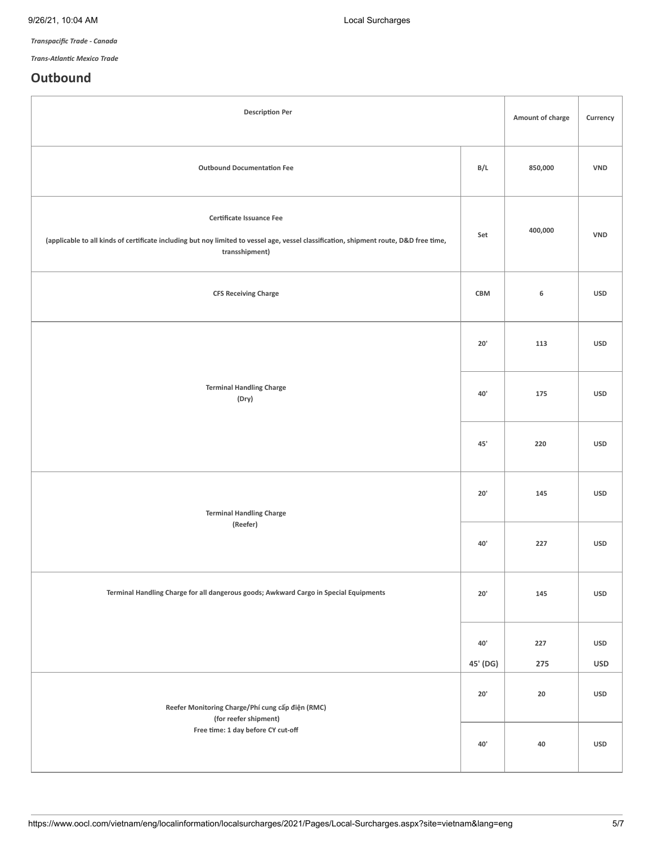*[Transpacific](https://www.oocl.com/eng/resourcecenter/surcharges/Pages/tptsurcharges.aspx) Trade - Canada*

*[Trans-Atlantic](https://www.oocl.com/eng/resourcecenter/surcharges/Pages/tamsurcharges.aspx) Mexico Trade*

## **Outbound**

| <b>Description Per</b>                                                                                                                                                               |                 |            | Currency          |
|--------------------------------------------------------------------------------------------------------------------------------------------------------------------------------------|-----------------|------------|-------------------|
| <b>Outbound Documentation Fee</b>                                                                                                                                                    | B/L             | 850,000    | <b>VND</b>        |
| Certificate Issuance Fee<br>(applicable to all kinds of certificate including but noy limited to vessel age, vessel classification, shipment route, D&D free time,<br>transshipment) | Set             | 400,000    | <b>VND</b>        |
| <b>CFS Receiving Charge</b>                                                                                                                                                          | CBM             | 6          | <b>USD</b>        |
| <b>Terminal Handling Charge</b><br>(Dry)                                                                                                                                             |                 | 113        | <b>USD</b>        |
|                                                                                                                                                                                      |                 | 175        | <b>USD</b>        |
|                                                                                                                                                                                      |                 | 220        | <b>USD</b>        |
| <b>Terminal Handling Charge</b>                                                                                                                                                      |                 | 145        | <b>USD</b>        |
| (Reefer)                                                                                                                                                                             | 40'             | 227        | <b>USD</b>        |
| Terminal Handling Charge for all dangerous goods; Awkward Cargo in Special Equipments                                                                                                | 20'             | 145        | <b>USD</b>        |
|                                                                                                                                                                                      | 40'<br>45' (DG) | 227<br>275 | USD<br><b>USD</b> |
| Reefer Monitoring Charge/Phí cung cấp điện (RMC)                                                                                                                                     |                 | $20\,$     | <b>USD</b>        |
| (for reefer shipment)<br>Free time: 1 day before CY cut-off                                                                                                                          | 40'             | 40         | <b>USD</b>        |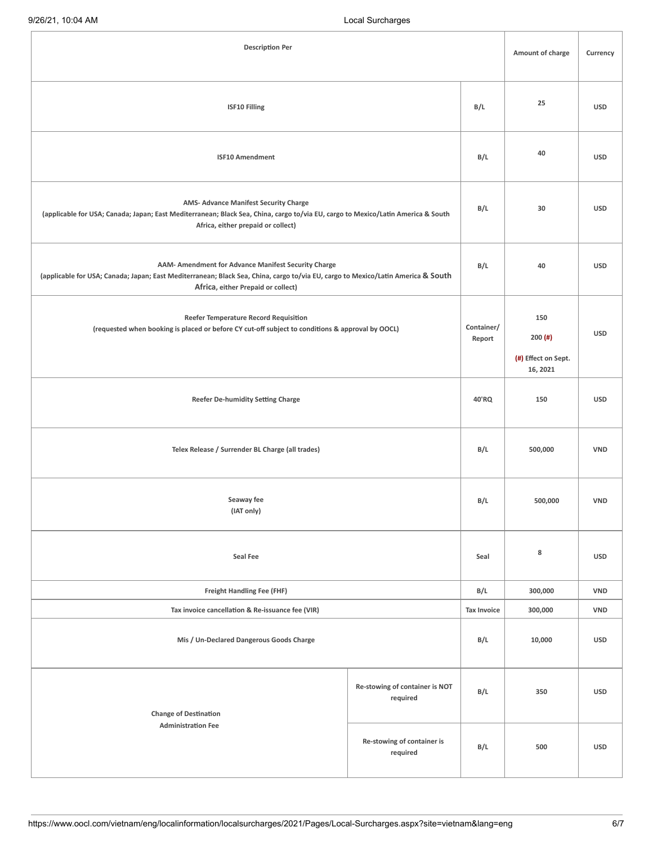| <b>Description Per</b>                                                                                                                                                                                                        |                                            |                      | Amount of charge                                    | Currency   |
|-------------------------------------------------------------------------------------------------------------------------------------------------------------------------------------------------------------------------------|--------------------------------------------|----------------------|-----------------------------------------------------|------------|
| <b>ISF10 Filling</b>                                                                                                                                                                                                          |                                            |                      | 25                                                  | <b>USD</b> |
| <b>ISF10 Amendment</b>                                                                                                                                                                                                        |                                            | B/L                  | 40                                                  | <b>USD</b> |
| AMS- Advance Manifest Security Charge<br>(applicable for USA; Canada; Japan; East Mediterranean; Black Sea, China, cargo to/via EU, cargo to Mexico/Latin America & South<br>Africa, either prepaid or collect)               |                                            | B/L                  | 30                                                  | <b>USD</b> |
| AAM- Amendment for Advance Manifest Security Charge<br>(applicable for USA; Canada; Japan; East Mediterranean; Black Sea, China, cargo to/via EU, cargo to Mexico/Latin America & South<br>Africa, either Prepaid or collect) |                                            | B/L                  | 40                                                  | <b>USD</b> |
| <b>Reefer Temperature Record Requisition</b><br>(requested when booking is placed or before CY cut-off subject to conditions & approval by OOCL)                                                                              |                                            | Container/<br>Report | 150<br>$200$ (#)<br>(#) Effect on Sept.<br>16, 2021 | <b>USD</b> |
| <b>Reefer De-humidity Setting Charge</b>                                                                                                                                                                                      |                                            | 40'RQ                | 150                                                 | <b>USD</b> |
| Telex Release / Surrender BL Charge (all trades)                                                                                                                                                                              |                                            | B/L                  | 500,000                                             | <b>VND</b> |
| Seaway fee<br>(IAT only)                                                                                                                                                                                                      |                                            | B/L                  | 500,000                                             | <b>VND</b> |
| Seal Fee                                                                                                                                                                                                                      |                                            | Seal                 | 8                                                   | <b>USD</b> |
| <b>Freight Handling Fee (FHF)</b>                                                                                                                                                                                             |                                            | B/L                  | 300,000                                             | <b>VND</b> |
| Tax invoice cancellation & Re-issuance fee (VIR)                                                                                                                                                                              |                                            | <b>Tax Invoice</b>   | 300,000                                             | <b>VND</b> |
| Mis / Un-Declared Dangerous Goods Charge                                                                                                                                                                                      |                                            | B/L                  | 10,000                                              | <b>USD</b> |
| <b>Change of Destination</b>                                                                                                                                                                                                  | Re-stowing of container is NOT<br>required | B/L                  | 350                                                 | <b>USD</b> |
| <b>Administration Fee</b>                                                                                                                                                                                                     | Re-stowing of container is<br>required     | B/L                  | 500                                                 | <b>USD</b> |